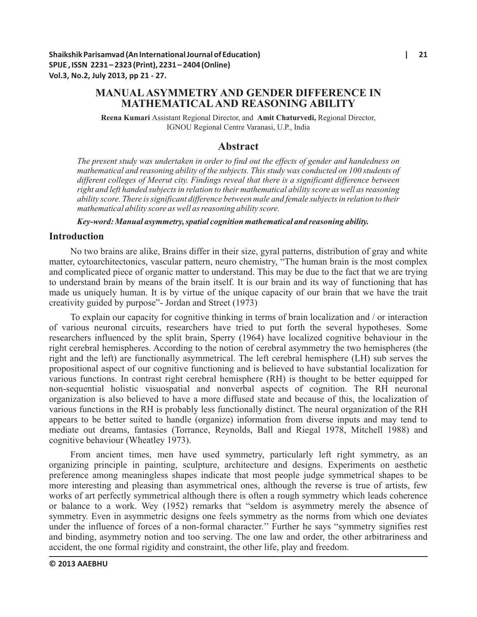## **MANUALASYMMETRY AND GENDER DIFFERENCE IN MATHEMATICALAND REASONING ABILITY**

**Reena Kumari** Assistant Regional Director, and **Amit Chaturvedi,** Regional Director, IGNOU Regional Centre Varanasi, U.P., India

### **Abstract**

*The present study was undertaken in order to find out the effects of gender and handedness on mathematical and reasoning ability of the subjects. This study was conducted on 100 students of different colleges of Meerut city. Findings reveal that there is a significant difference between right and left handed subjects in relation to their mathematical ability score as well as reasoning ability score. There is significant difference between male and female subjects in relation to their mathematical ability score as well as reasoning ability score.* 

*Key-word: Manual asymmetry, spatial cognition mathematical and reasoning ability.*

### **Introduction**

No two brains are alike, Brains differ in their size, gyral patterns, distribution of gray and white matter, cytoarchitectonics, vascular pattern, neuro chemistry, "The human brain is the most complex and complicated piece of organic matter to understand. This may be due to the fact that we are trying to understand brain by means of the brain itself. It is our brain and its way of functioning that has made us uniquely human. It is by virtue of the unique capacity of our brain that we have the trait creativity guided by purpose"- Jordan and Street (1973)

To explain our capacity for cognitive thinking in terms of brain localization and / or interaction of various neuronal circuits, researchers have tried to put forth the several hypotheses. Some researchers influenced by the split brain, Sperry (1964) have localized cognitive behaviour in the right cerebral hemispheres. According to the notion of cerebral asymmetry the two hemispheres (the right and the left) are functionally asymmetrical. The left cerebral hemisphere (LH) sub serves the propositional aspect of our cognitive functioning and is believed to have substantial localization for various functions. In contrast right cerebral hemisphere (RH) is thought to be better equipped for non-sequential holistic visuospatial and nonverbal aspects of cognition. The RH neuronal organization is also believed to have a more diffused state and because of this, the localization of various functions in the RH is probably less functionally distinct. The neural organization of the RH appears to be better suited to handle (organize) information from diverse inputs and may tend to mediate out dreams, fantasies (Torrance, Reynolds, Ball and Riegal 1978, Mitchell 1988) and cognitive behaviour (Wheatley 1973).

From ancient times, men have used symmetry, particularly left right symmetry, as an organizing principle in painting, sculpture, architecture and designs. Experiments on aesthetic preference among meaningless shapes indicate that most people judge symmetrical shapes to be more interesting and pleasing than asymmetrical ones, although the reverse is true of artists, few works of art perfectly symmetrical although there is often a rough symmetry which leads coherence or balance to a work. Wey (1952) remarks that "seldom is asymmetry merely the absence of symmetry. Even in asymmetric designs one feels symmetry as the norms from which one deviates under the influence of forces of a non-formal character.'' Further he says "symmetry signifies rest and binding, asymmetry notion and too serving. The one law and order, the other arbitrariness and accident, the one formal rigidity and constraint, the other life, play and freedom.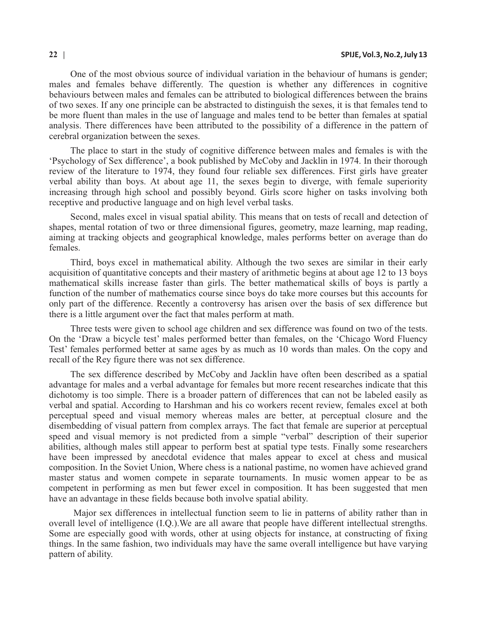One of the most obvious source of individual variation in the behaviour of humans is gender; males and females behave differently. The question is whether any differences in cognitive behaviours between males and females can be attributed to biological differences between the brains of two sexes. If any one principle can be abstracted to distinguish the sexes, it is that females tend to be more fluent than males in the use of language and males tend to be better than females at spatial analysis. There differences have been attributed to the possibility of a difference in the pattern of cerebral organization between the sexes.

The place to start in the study of cognitive difference between males and females is with the 'Psychology of Sex difference', a book published by McCoby and Jacklin in 1974. In their thorough review of the literature to 1974, they found four reliable sex differences. First girls have greater verbal ability than boys. At about age 11, the sexes begin to diverge, with female superiority increasing through high school and possibly beyond. Girls score higher on tasks involving both receptive and productive language and on high level verbal tasks.

Second, males excel in visual spatial ability. This means that on tests of recall and detection of shapes, mental rotation of two or three dimensional figures, geometry, maze learning, map reading, aiming at tracking objects and geographical knowledge, males performs better on average than do females.

Third, boys excel in mathematical ability. Although the two sexes are similar in their early acquisition of quantitative concepts and their mastery of arithmetic begins at about age 12 to 13 boys mathematical skills increase faster than girls. The better mathematical skills of boys is partly a function of the number of mathematics course since boys do take more courses but this accounts for only part of the difference. Recently a controversy has arisen over the basis of sex difference but there is a little argument over the fact that males perform at math.

Three tests were given to school age children and sex difference was found on two of the tests. On the 'Draw a bicycle test' males performed better than females, on the 'Chicago Word Fluency Test' females performed better at same ages by as much as 10 words than males. On the copy and recall of the Rey figure there was not sex difference.

The sex difference described by McCoby and Jacklin have often been described as a spatial advantage for males and a verbal advantage for females but more recent researches indicate that this dichotomy is too simple. There is a broader pattern of differences that can not be labeled easily as verbal and spatial. According to Harshman and his co workers recent review, females excel at both perceptual speed and visual memory whereas males are better, at perceptual closure and the disembedding of visual pattern from complex arrays. The fact that female are superior at perceptual speed and visual memory is not predicted from a simple "verbal" description of their superior abilities, although males still appear to perform best at spatial type tests. Finally some researchers have been impressed by anecdotal evidence that males appear to excel at chess and musical composition. In the Soviet Union, Where chess is a national pastime, no women have achieved grand master status and women compete in separate tournaments. In music women appear to be as competent in performing as men but fewer excel in composition. It has been suggested that men have an advantage in these fields because both involve spatial ability.

Major sex differences in intellectual function seem to lie in patterns of ability rather than in overall level of intelligence (I.Q.).We are all aware that people have different intellectual strengths. Some are especially good with words, other at using objects for instance, at constructing of fixing things. In the same fashion, two individuals may have the same overall intelligence but have varying pattern of ability.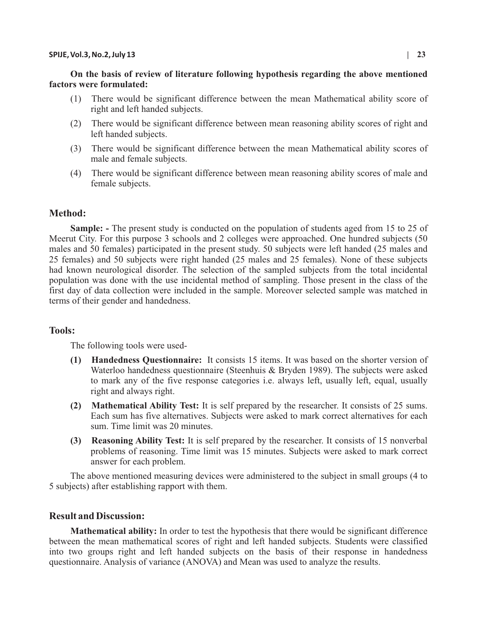### **On the basis of review of literature following hypothesis regarding the above mentioned factors were formulated:**

- (1) There would be significant difference between the mean Mathematical ability score of right and left handed subjects.
- (2) There would be significant difference between mean reasoning ability scores of right and left handed subjects.
- (3) There would be significant difference between the mean Mathematical ability scores of male and female subjects.
- (4) There would be significant difference between mean reasoning ability scores of male and female subjects.

### **Method:**

**Sample:** - The present study is conducted on the population of students aged from 15 to 25 of Meerut City. For this purpose 3 schools and 2 colleges were approached. One hundred subjects (50 males and 50 females) participated in the present study. 50 subjects were left handed (25 males and 25 females) and 50 subjects were right handed (25 males and 25 females). None of these subjects had known neurological disorder. The selection of the sampled subjects from the total incidental population was done with the use incidental method of sampling. Those present in the class of the first day of data collection were included in the sample. Moreover selected sample was matched in terms of their gender and handedness.

#### **Tools:**

The following tools were used-

- **(1) Handedness Questionnaire:** It consists 15 items. It was based on the shorter version of Waterloo handedness questionnaire (Steenhuis & Bryden 1989). The subjects were asked to mark any of the five response categories i.e. always left, usually left, equal, usually right and always right.
- **(2) Mathematical Ability Test:** It is self prepared by the researcher. It consists of 25 sums. Each sum has five alternatives. Subjects were asked to mark correct alternatives for each sum. Time limit was 20 minutes.
- **(3) Reasoning Ability Test:** It is self prepared by the researcher. It consists of 15 nonverbal problems of reasoning. Time limit was 15 minutes. Subjects were asked to mark correct answer for each problem.

The above mentioned measuring devices were administered to the subject in small groups (4 to 5 subjects) after establishing rapport with them.

### **Result and Discussion:**

**Mathematical ability:** In order to test the hypothesis that there would be significant difference between the mean mathematical scores of right and left handed subjects. Students were classified into two groups right and left handed subjects on the basis of their response in handedness questionnaire. Analysis of variance (ANOVA) and Mean was used to analyze the results.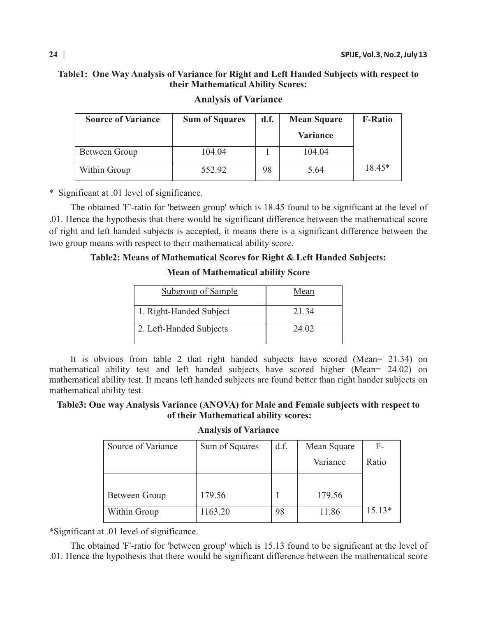## **Table1: One Way Analysis of Variance for Right and Left Handed Subjects with respect to their Mathematical Ability Scores:**

| <b>Source of Variance</b> | <b>Sum of Squares</b> | d.f. | <b>Mean Square</b> | <b>F-Ratio</b> |
|---------------------------|-----------------------|------|--------------------|----------------|
|                           |                       |      | <b>Variance</b>    |                |
| Between Group             | 104.04                |      | 104.04             |                |
| Within Group              | 552.92                | 98   | 5.64               | 18.45*         |

## **Analysis of Variance**

\* Significant at .01 level of significance.

The obtained 'F'-ratio for 'between group' which is 18.45 found to be significant at the level of .01. Hence the hypothesis that there would be significant difference between the mathematical score of right and left handed subjects is accepted, it means there is a significant difference between the two group means with respect to their mathematical ability score.

## **Table2: Means of Mathematical Scores for Right & Left Handed Subjects:**

### **Mean of Mathematical ability Score**

| <b>Subgroup of Sample</b> | Mean  |
|---------------------------|-------|
| 1. Right-Handed Subject   | 21.34 |
| 2. Left-Handed Subjects   | 24.02 |

It is obvious from table 2 that right handed subjects have scored (Mean= 21.34) on mathematical ability test and left handed subjects have scored higher (Mean= 24.02) on mathematical ability test. It means left handed subjects are found better than right hander subjects on mathematical ability test.

### **Table3: One way Analysis Variance (ANOVA) for Male and Female subjects with respect to of their Mathematical ability scores:**

#### **Analysis of Variance**

| Source of Variance | Sum of Squares | d.f. | Mean Square | $F-$     |
|--------------------|----------------|------|-------------|----------|
|                    |                |      | Variance    | Ratio    |
|                    |                |      |             |          |
| Between Group      | 179.56         |      | 179.56      |          |
| Within Group       | 1163.20        | 98   | 11.86       | $15.13*$ |

\*Significant at .01 level of significance.

The obtained 'F'-ratio for 'between group' which is 15.13 found to be significant at the level of .01. Hence the hypothesis that there would be significant difference between the mathematical score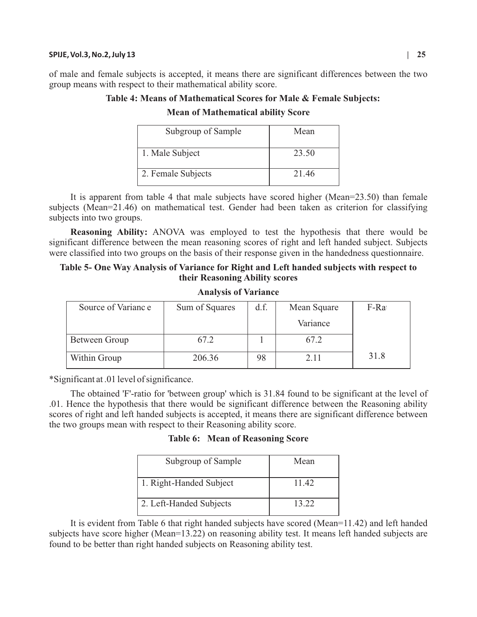#### **SPIJE, Vol.3, No.2, July 13 | 25**

of male and female subjects is accepted, it means there are significant differences between the two group means with respect to their mathematical ability score.

 **Table 4: Means of Mathematical Scores for Male & Female Subjects:** 

| Subgroup of Sample | Mean  |
|--------------------|-------|
| 1. Male Subject    | 23.50 |
| 2. Female Subjects | 21.46 |

**Mean of Mathematical ability Score**

It is apparent from table 4 that male subjects have scored higher (Mean=23.50) than female subjects (Mean=21.46) on mathematical test. Gender had been taken as criterion for classifying subjects into two groups.

**Reasoning Ability:** ANOVA was employed to test the hypothesis that there would be significant difference between the mean reasoning scores of right and left handed subject. Subjects were classified into two groups on the basis of their response given in the handedness questionnaire.

### **Table 5- One Way Analysis of Variance for Right and Left handed subjects with respect to their Reasoning Ability scores**

| Source of Variance | Sum of Squares | d.f. | Mean Square | F-Ra |
|--------------------|----------------|------|-------------|------|
|                    |                |      | Variance    |      |
| Between Group      | 67.2           |      | 67.2        |      |
| Within Group       | 206.36         | 98   | 2.11        | 31.8 |

**Analysis of Variance**

\*Significant at .01 level of significance.

The obtained 'F'-ratio for 'between group' which is 31.84 found to be significant at the level of .01. Hence the hypothesis that there would be significant difference between the Reasoning ability scores of right and left handed subjects is accepted, it means there are significant difference between the two groups mean with respect to their Reasoning ability score.

**Table 6: Mean of Reasoning Score**

| Subgroup of Sample      | Mean  |
|-------------------------|-------|
| 1. Right-Handed Subject | 11.42 |
| 2. Left-Handed Subjects | 13.22 |

It is evident from Table 6 that right handed subjects have scored (Mean=11.42) and left handed subjects have score higher (Mean=13.22) on reasoning ability test. It means left handed subjects are found to be better than right handed subjects on Reasoning ability test.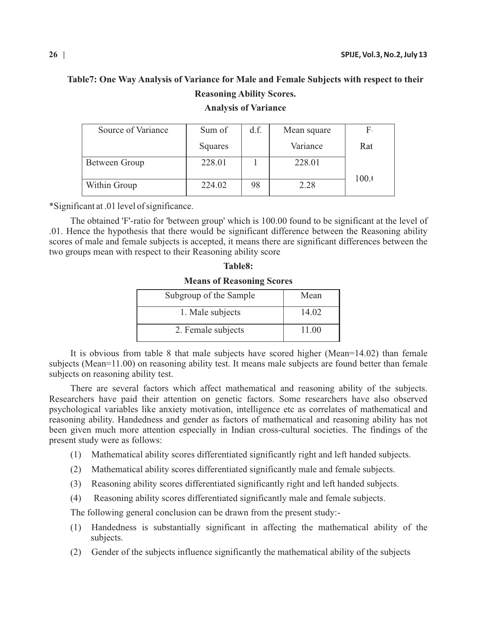# **Table7: One Way Analysis of Variance for Male and Female Subjects with respect to their Reasoning Ability Scores.**

| Source of Variance | Sum of  | d.f. | Mean square | F.    |
|--------------------|---------|------|-------------|-------|
|                    | Squares |      | Variance    | Rat   |
| Between Group      | 228.01  |      | 228.01      | 100.0 |
| Within Group       | 224.02  | 98   | 2.28        |       |

**Analysis of Variance**

\*Significant at .01 level of significance.

The obtained 'F'-ratio for 'between group' which is 100.00 found to be significant at the level of .01. Hence the hypothesis that there would be significant difference between the Reasoning ability scores of male and female subjects is accepted, it means there are significant differences between the two groups mean with respect to their Reasoning ability score

**Table8:**

| <b>Means of Reasoning Scores</b> |       |  |  |  |
|----------------------------------|-------|--|--|--|
| Subgroup of the Sample           | Mean  |  |  |  |
| 1. Male subjects                 | 14.02 |  |  |  |
| 2. Female subjects               | 11.00 |  |  |  |

It is obvious from table 8 that male subjects have scored higher (Mean=14.02) than female subjects (Mean=11.00) on reasoning ability test. It means male subjects are found better than female subjects on reasoning ability test.

There are several factors which affect mathematical and reasoning ability of the subjects. Researchers have paid their attention on genetic factors. Some researchers have also observed psychological variables like anxiety motivation, intelligence etc as correlates of mathematical and reasoning ability. Handedness and gender as factors of mathematical and reasoning ability has not been given much more attention especially in Indian cross-cultural societies. The findings of the present study were as follows:

- (1) Mathematical ability scores differentiated significantly right and left handed subjects.
- (2) Mathematical ability scores differentiated significantly male and female subjects.
- (3) Reasoning ability scores differentiated significantly right and left handed subjects.
- (4) Reasoning ability scores differentiated significantly male and female subjects.

The following general conclusion can be drawn from the present study:-

- (1) Handedness is substantially significant in affecting the mathematical ability of the subjects.
- (2) Gender of the subjects influence significantly the mathematical ability of the subjects